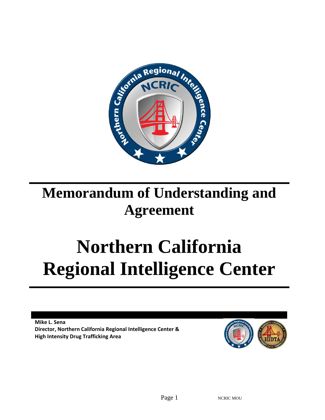

# **Memorandum of Understanding and Agreement**

# **Northern California Regional Intelligence Center**

**Mike L. Sena Director, Northern California Regional Intelligence Center & High Intensity Drug Trafficking Area**

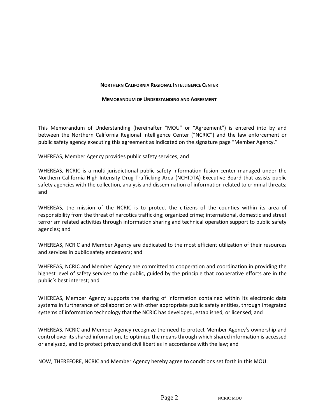#### **NORTHERN CALIFORNIA REGIONAL INTELLIGENCE CENTER**

#### **MEMORANDUM OF UNDERSTANDING AND AGREEMENT**

This Memorandum of Understanding (hereinafter "MOU" or "Agreement") is entered into by and between the Northern California Regional Intelligence Center ("NCRIC") and the law enforcement or public safety agency executing this agreement as indicated on the signature page "Member Agency."

WHEREAS, Member Agency provides public safety services; and

WHEREAS, NCRIC is a multi-jurisdictional public safety information fusion center managed under the Northern California High Intensity Drug Trafficking Area (NCHIDTA) Executive Board that assists public safety agencies with the collection, analysis and dissemination of information related to criminal threats; and

WHEREAS, the mission of the NCRIC is to protect the citizens of the counties within its area of responsibility from the threat of narcotics trafficking; organized crime; international, domestic and street terrorism related activities through information sharing and technical operation support to public safety agencies; and

WHEREAS, NCRIC and Member Agency are dedicated to the most efficient utilization of their resources and services in public safety endeavors; and

WHEREAS, NCRIC and Member Agency are committed to cooperation and coordination in providing the highest level of safety services to the public, guided by the principle that cooperative efforts are in the public's best interest; and

WHEREAS, Member Agency supports the sharing of information contained within its electronic data systems in furtherance of collaboration with other appropriate public safety entities, through integrated systems of information technology that the NCRIC has developed, established, or licensed; and

WHEREAS, NCRIC and Member Agency recognize the need to protect Member Agency's ownership and control over its shared information, to optimize the means through which shared information is accessed or analyzed, and to protect privacy and civil liberties in accordance with the law; and

NOW, THEREFORE, NCRIC and Member Agency hereby agree to conditions set forth in this MOU: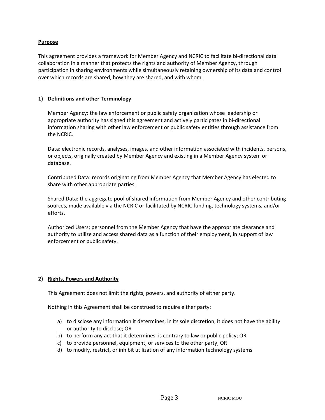#### **Purpose**

This agreement provides a framework for Member Agency and NCRIC to facilitate bi-directional data collaboration in a manner that protects the rights and authority of Member Agency, through participation in sharing environments while simultaneously retaining ownership of its data and control over which records are shared, how they are shared, and with whom.

#### **1) Definitions and other Terminology**

Member Agency: the law enforcement or public safety organization whose leadership or appropriate authority has signed this agreement and actively participates in bi-directional information sharing with other law enforcement or public safety entities through assistance from the NCRIC.

Data: electronic records, analyses, images, and other information associated with incidents, persons, or objects, originally created by Member Agency and existing in a Member Agency system or database.

Contributed Data: records originating from Member Agency that Member Agency has elected to share with other appropriate parties.

Shared Data: the aggregate pool of shared information from Member Agency and other contributing sources, made available via the NCRIC or facilitated by NCRIC funding, technology systems, and/or efforts.

Authorized Users: personnel from the Member Agency that have the appropriate clearance and authority to utilize and access shared data as a function of their employment, in support of law enforcement or public safety.

#### **2) Rights, Powers and Authority**

This Agreement does not limit the rights, powers, and authority of either party.

Nothing in this Agreement shall be construed to require either party:

- a) to disclose any information it determines, in its sole discretion, it does not have the ability or authority to disclose; OR
- b) to perform any act that it determines, is contrary to law or public policy; OR
- c) to provide personnel, equipment, or services to the other party; OR
- d) to modify, restrict, or inhibit utilization of any information technology systems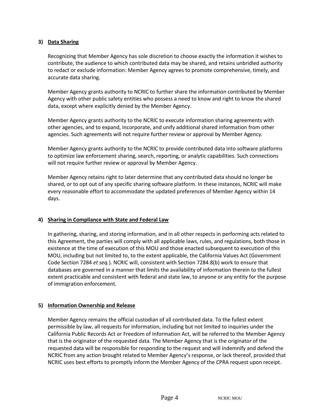#### **3) Data Sharing**

Recognizing that Member Agency has sole discretion to choose exactly the information it wishes to contribute, the audience to which contributed data may be shared, and retains unbridled authority to redact or exclude information: Member Agency agrees to promote comprehensive, timely, and accurate data sharing.

Member Agency grants authority to NCRIC to further share the information contributed by Member Agency with other public safety entities who possess a need to know and right to know the shared data, except where explicitly denied by the Member Agency.

Member Agency grants authority to the NCRIC to execute information sharing agreements with other agencies, and to expand, incorporate, and unify additional shared information from other agencies. Such agreements will not require further review or approval by Member Agency.

Member Agency grants authority to the NCRIC to provide contributed data into software platforms to optimize law enforcement sharing, search, reporting, or analytic capabilities. Such connections will not require further review or approval by Member Agency.

Member Agency retains right to later determine that any contributed data should no longer be shared, or to opt out of any specific sharing software platform. In these instances, NCRIC will make every reasonable effort to accommodate the updated preferences of Member Agency within 14 days.

# **4) Sharing in Compliance with State and Federal Law**

In gathering, sharing, and storing information, and in all other respects in performing acts related to this Agreement, the parties will comply with all applicable laws, rules, and regulations, both those in existence at the time of execution of this MOU and those enacted subsequent to execution of this MOU, including but not limited to, to the extent applicable, the California Values Act (Government Code Section 7284 *et seq.*). NCRIC will, consistent with Section 7284.8(b) work to ensure that databases are governed in a manner that limits the availability of information therein to the fullest extent practicable and consistent with federal and state law, to anyone or any entity for the purpose of immigration enforcement.

#### **5) Information Ownership and Release**

Member Agency remains the official custodian of all contributed data. To the fullest extent permissible by law, all requests for information, including but not limited to inquiries under the California Public Records Act or Freedom of Information Act, will be referred to the Member Agency that is the originator of the requested data. The Member Agency that is the originator of the requested data will be responsible for responding to the request and will indemnify and defend the NCRIC from any action brought related to Member Agency's response, or lack thereof, provided that NCRIC uses best efforts to promptly inform the Member Agency of the CPRA request upon receipt.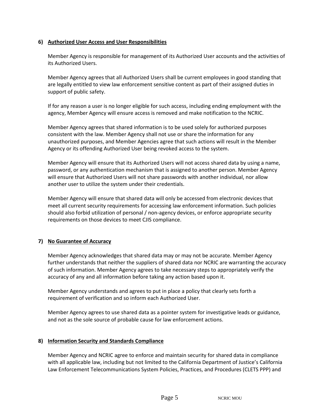#### **6) Authorized User Access and User Responsibilities**

Member Agency is responsible for management of its Authorized User accounts and the activities of its Authorized Users.

Member Agency agrees that all Authorized Users shall be current employees in good standing that are legally entitled to view law enforcement sensitive content as part of their assigned duties in support of public safety.

If for any reason a user is no longer eligible for such access, including ending employment with the agency, Member Agency will ensure access is removed and make notification to the NCRIC.

Member Agency agrees that shared information is to be used solely for authorized purposes consistent with the law. Member Agency shall not use or share the information for any unauthorized purposes, and Member Agencies agree that such actions will result in the Member Agency or its offending Authorized User being revoked access to the system.

Member Agency will ensure that its Authorized Users will not access shared data by using a name, password, or any authentication mechanism that is assigned to another person. Member Agency will ensure that Authorized Users will not share passwords with another individual, nor allow another user to utilize the system under their credentials.

Member Agency will ensure that shared data will only be accessed from electronic devices that meet all current security requirements for accessing law enforcement information. Such policies should also forbid utilization of personal / non-agency devices, or enforce appropriate security requirements on those devices to meet CJIS compliance.

# **7) No Guarantee of Accuracy**

Member Agency acknowledges that shared data may or may not be accurate. Member Agency further understands that neither the suppliers of shared data nor NCRIC are warranting the accuracy of such information. Member Agency agrees to take necessary steps to appropriately verify the accuracy of any and all information before taking any action based upon it.

Member Agency understands and agrees to put in place a policy that clearly sets forth a requirement of verification and so inform each Authorized User.

Member Agency agrees to use shared data as a pointer system for investigative leads or guidance, and not as the sole source of probable cause for law enforcement actions.

#### **8) Information Security and Standards Compliance**

Member Agency and NCRIC agree to enforce and maintain security for shared data in compliance with all applicable law, including but not limited to the California Department of Justice's California Law Enforcement Telecommunications System Policies, Practices, and Procedures (CLETS PPP) and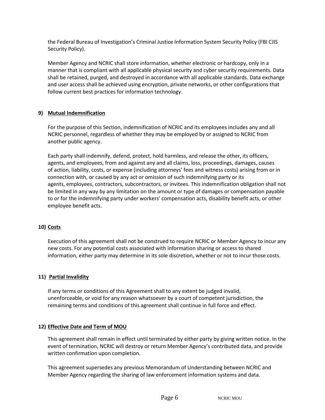the Federal Bureau of Investigation's Criminal Justice Information System Security Policy (FBI CJIS Security Policy).

Member Agency and NCRIC shall store information, whether electronic or hardcopy, only in a manner that is compliant with all applicable physical security and cyber security requirements. Data shall be retained, purged, and destroyed in accordance with all applicable standards. Data exchange and user access shall be achieved using encryption, private networks, or other configurations that follow current best practices for information technology.

# **9) Mutual Indemnification**

For the purpose of this Section, indemnification of NCRIC and its employees includes any and all NCRIC personnel, regardless of whether they may be employed by or assigned to NCRIC from another public agency.

Each party shall indemnify, defend, protect, hold harmless, and release the other, its officers, agents, and employees, from and against any and all claims, loss, proceedings, damages, causes of action, liability, costs, or expense (including attorneys' fees and witness costs) arising from or in connection with, or caused by any act or omission of such indemnifying party or its agents, employees, contractors, subcontractors, or invitees. This indemnification obligation shall not be limited in any way by any limitation on the amount or type of damages or compensation payable to or for the indemnifying party under workers' compensation acts, disability benefit acts, or other employee benefit acts.

# **10) Costs**

Execution of this agreement shall not be construed to require NCRIC or Member Agency to incur any new costs. For any potential costs associated with information sharing or access to shared information, either party may determine in its sole discretion, whether or not to incur those costs.

# **11) Partial Invalidity**

If any terms or conditions of this Agreement shall to any extent be judged invalid, unenforceable, or void for any reason whatsoever by a court of competent jurisdiction, the remaining terms and conditions of this agreement shall continue in full force and effect.

# **12) Effective Date and Term of MOU**

This agreement shall remain in effect until terminated by either party by giving written notice. In the event of termination, NCRIC will destroy or return Member Agency's contributed data, and provide written confirmation upon completion.

This agreement supersedes any previous Memorandum of Understanding between NCRIC and Member Agency regarding the sharing of law enforcement information systems and data.